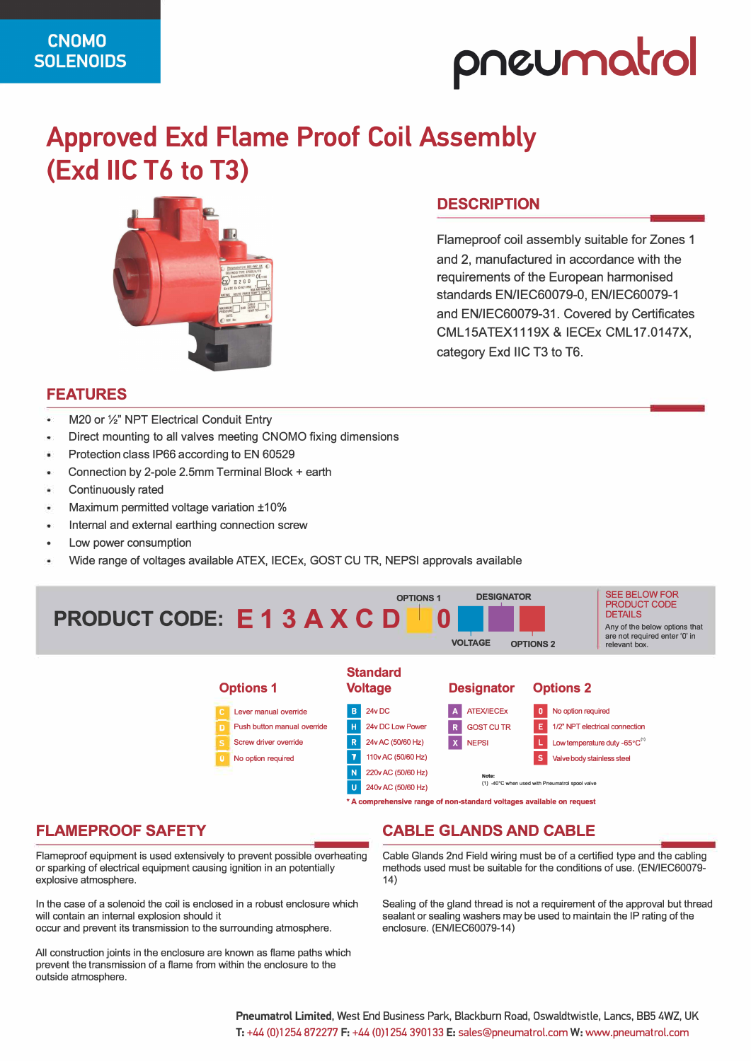# **pneumot,ol**

## **Approved Exd Flame Proof Coil Assembly (Exd IIC T6 to T3)**



## **DESCRIPTION**

Flameproof coil assembly suitable for Zones 1 and 2, manufactured in accordance with the requirements of the European harmonised standards EN/IEC60079-0, EN/IEC60079-1 and EN/IEC60079-31. Covered by Certificates CML 15ATEX1119X & IECEx CML 17.0147X, category Exd IIC T3 to T6.

#### **FEATURES**

- M20 or 1/2" NPT Electrical Conduit Entry
- Direct mounting to all valves meeting CNOMO fixing dimensions
- Protection class IP66 according to EN 60529
- Connection by 2-pole 2.5mm Terminal Block+ earth
- Continuously rated
- Maximum permitted voltage variation ±10%
- Internal and external earthing connection screw
- Low power consumption
- Wide range of voltages available ATEX, IECEx, GOST CU TR, NEPSI approvals available



#### **• A comprehensive range of non-standard voltages available on request**

### **FLAMEPROOF SAFETY**

Flameproof equipment is used extensively to prevent possible overheating or sparking of electrical equipment causing ignition in an potentially explosive atmosphere.

In the case of a solenoid the coil is enclosed in a robust enclosure which will contain an internal explosion should it

occur and prevent its transmission to the surrounding atmosphere.

All construction joints in the enclosure are known as flame paths which prevent the transmission of a flame from within the enclosure to the outside atmosphere.

### **CABLE GLANDS AND CABLE**

Cable Glands 2nd Field wiring must be of a certified type and the cabling methods used must be suitable for the conditions of use. (EN/IEC60079- 14)

Sealing of the gland thread is not a requirement of the approval but thread sealant or sealing washers may be used to maintain the IP rating of the enclosure. (EN/IEC60079-14)

**Pneumatrol Limited,** West End Business Park, Blackburn Road, Oswaldtwistle, Lanes, 885 4WZ, UK T: +44 (0)1254 872277 F: +44 (0)1254 390133 E: sales@pneumatrol.comW:www.pneumatrol.com